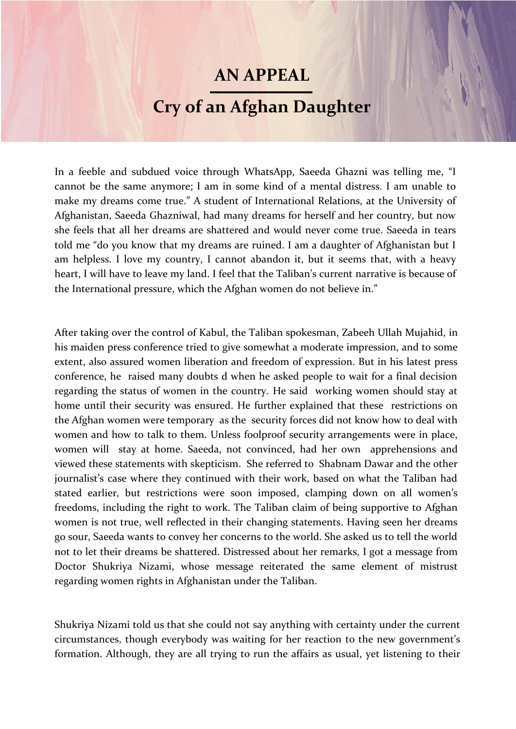## **AN APPEAL**

## **Cry of an Afghan Daughter**

In a feeble and subdued voice through WhatsApp, Saeeda Ghazni was telling me, "I cannot be the same anymore; I am in some kind of a mental distress. I am unable to make my dreams come true." A student of International Relations, at the University of Afghanistan, Saeeda Ghazniwal, had many dreams for herself and her country, but now she feels that all her dreams are shattered and would never come true. Saeeda in tears told me "do you know that my dreams are ruined. I am a daughter of Afghanistan but I am helpless. I love my country, I cannot abandon it, but it seems that, with a heavy heart, I will have to leave my land. I feel that the Taliban's current narrative is because of the International pressure, which the Afghan women do not believe in."

After taking over the control of Kabul, the Taliban spokesman, Zabeeh Ullah Mujahid, in his maiden press conference tried to give somewhat a moderate impression, and to some extent, also assured women liberation and freedom of expression. But in his latest press conference, he raised many doubts d when he asked people to wait for a final decision regarding the status of women in the country. He said working women should stay at home until their security was ensured. He further explained that these restrictions on the Afghan women were temporary as the security forces did not know how to deal with women and how to talk to them. Unless foolproof security arrangements were in place, women will stay at home. Saeeda, not convinced, had her own apprehensions and viewed these statements with skepticism. She referred to Shabnam Dawar and the other journalist's case where they continued with their work, based on what the Taliban had stated earlier, but restrictions were soon imposed, clamping down on all women's freedoms, including the right to work. The Taliban claim of being supportive to Afghan women is not true, well reflected in their changing statements. Having seen her dreams go sour, Saeeda wants to convey her concerns to the world. She asked us to tell the world not to let their dreams be shattered. Distressed about her remarks, I got a message from Doctor Shukriya Nizami, whose message reiterated the same element of mistrust regarding women rights in Afghanistan under the Taliban.

Shukriya Nizami told us that she could not say anything with certainty under the current circumstances, though everybody was waiting for her reaction to the new government's formation. Although, they are all trying to run the affairs as usual, yet listening to their